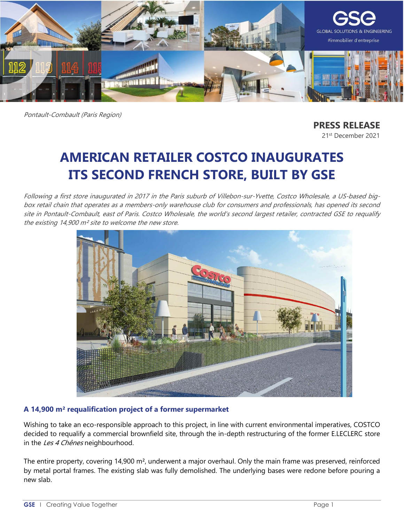

Pontault-Combault (Paris Region)

**PRESS RELEASE** 21st December 2021

# **AMERICAN RETAILER COSTCO INAUGURATES ITS SECOND FRENCH STORE, BUILT BY GSE**

Following a first store inaugurated in 2017 in the Paris suburb of Villebon-sur-Yvette, Costco Wholesale, a US-based bigbox retail chain that operates as a members-only warehouse club for consumers and professionals, has opened its second site in Pontault-Combault, east of Paris. Costco Wholesale, the world's second largest retailer, contracted GSE to requalify the existing 14,900 m² site to welcome the new store.



## **A 14,900 m² requalification project of a former supermarket**

Wishing to take an eco-responsible approach to this project, in line with current environmental imperatives, COSTCO decided to requalify a commercial brownfield site, through the in-depth restructuring of the former E.LECLERC store in the Les 4 Chênes neighbourhood.

The entire property, covering 14,900 m², underwent a major overhaul. Only the main frame was preserved, reinforced by metal portal frames. The existing slab was fully demolished. The underlying bases were redone before pouring a new slab.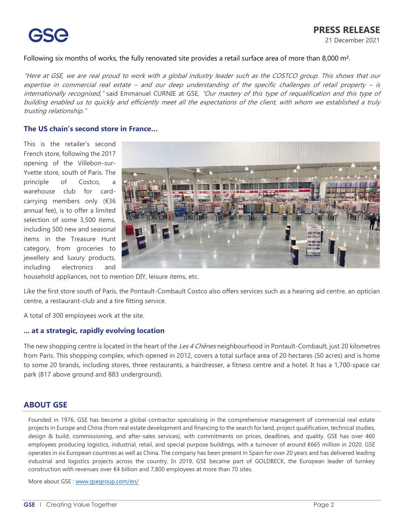Following six months of works, the fully renovated site provides a retail surface area of more than 8,000 m<sup>2</sup>.

"Here at GSE, we are real proud to work with a global industry leader such as the COSTCO group. This shows that our expertise in commercial real estate – and our deep understanding of the specific challenges of retail property – is internationally recognised," said Emmanuel CURNIE at GSE. "Our mastery of this type of requalification and this type of building enabled us to quickly and efficiently meet all the expectations of the client, with whom we established a truly trusting relationship."

#### **The US chain's second store in France…**

This is the retailer's second French store, following the 2017 opening of the Villebon-sur-Yvette store, south of Paris. The principle of Costco, a warehouse club for cardcarrying members only (€36 annual fee), is to offer a limited selection of some 3,500 items, including 500 new and seasonal items in the Treasure Hunt category, from groceries to jewellery and luxury products, including electronics and



household appliances, not to mention DIY, leisure items, etc.

Like the first store south of Paris, the Pontault-Combault Costco also offers services such as a hearing aid centre, an optician centre, a restaurant-club and a tire fitting service.

A total of 300 employees work at the site.

#### **... at a strategic, rapidly evolving location**

The new shopping centre is located in the heart of the Les 4 Chênes neighbourhood in Pontault-Combault, just 20 kilometres from Paris. This shopping complex, which opened in 2012, covers a total surface area of 20 hectares (50 acres) and is home to some 20 brands, including stores, three restaurants, a hairdresser, a fitness centre and a hotel. It has a 1,700-space car park (817 above ground and 883 underground).

#### **ABOUT GSE**

Founded in 1976, GSE has become a global contractor specialising in the comprehensive management of commercial real estate projects in Europe and China (from real estate development and financing to the search for land, project qualification, technical studies, design & build, commissioning, and after-sales services), with commitments on prices, deadlines, and quality. GSE has over 460 employees producing logistics, industrial, retail, and special purpose buildings, with a turnover of around €665 million in 2020. GSE operates in six European countries as well as China. The company has been present in Spain for over 20 years and has delivered leading industrial and logistics projects across the country. In 2019, GSE became part of GOLDBECK, the European leader of turnkey construction with revenues over €4 billion and 7,800 employees at more than 70 sites.

More about GSE : [www.gsegroup.com/](http://www.gsegroup.com/)en/